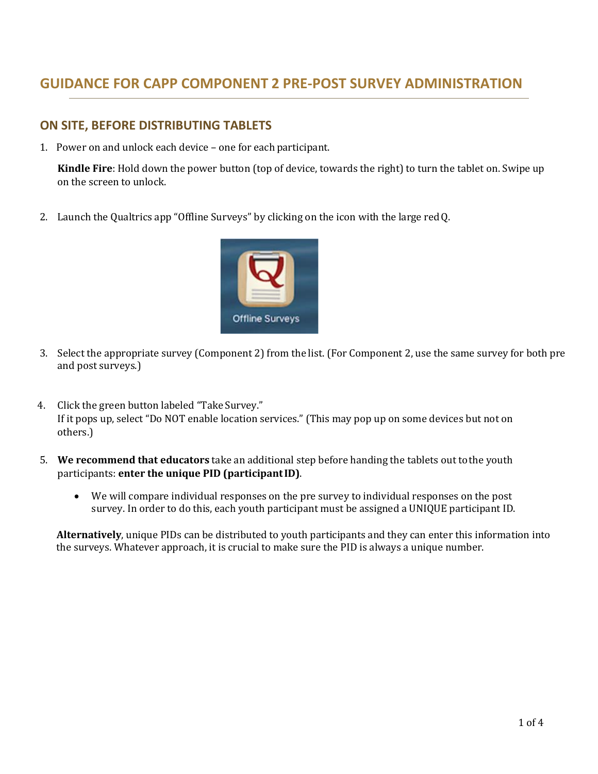## **GUIDANCE FOR CAPP COMPONENT 2 PRE‐POST SURVEY ADMINISTRATION**

## **ON SITE, BEFORE DISTRIBUTING TABLETS**

1. Power on and unlock each device – one for each participant.

**Kindle Fire**: Hold down the power button (top of device, towards the right) to turn the tablet on. Swipe up on the screen to unlock.

2. Launch the Qualtrics app "Offline Surveys" by clicking on the icon with the large redQ.



- 3. Select the appropriate survey (Component 2) from the list. (For Component 2, use the same survey for both pre and post surveys.)
- 4. Click the green button labeled "Take Survey." If it pops up, select "Do NOT enable location services." (This may pop up on some devices but not on others.)
- 5. **We recommend that educators** take an additional step before handing the tablets out tothe youth participants: **enter the unique PID (participantID)**.
	- We will compare individual responses on the pre survey to individual responses on the post survey. In order to do this, each youth participant must be assigned a UNIQUE participant ID.

**Alternatively**, unique PIDs can be distributed to youth participants and they can enter this information into the surveys. Whatever approach, it is crucial to make sure the PID is always a unique number.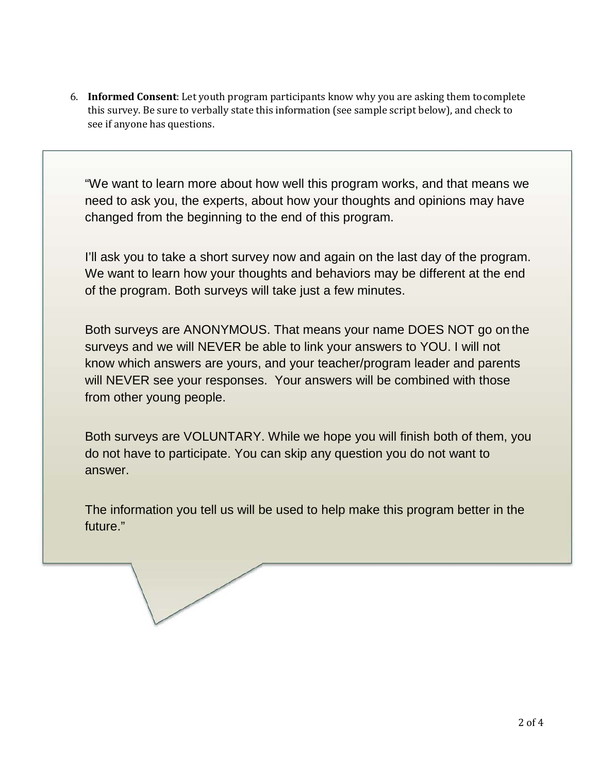6. **Informed Consent**: Let youth program participants know why you are asking them tocomplete this survey. Be sure to verbally state this information (see sample script below), and check to see if anyone has questions.

"We want to learn more about how well this program works, and that means we need to ask you, the experts, about how your thoughts and opinions may have changed from the beginning to the end of this program.

I'll ask you to take a short survey now and again on the last day of the program. We want to learn how your thoughts and behaviors may be different at the end of the program. Both surveys will take just a few minutes.

Both surveys are ANONYMOUS. That means your name DOES NOT go on the surveys and we will NEVER be able to link your answers to YOU. I will not know which answers are yours, and your teacher/program leader and parents will NEVER see your responses. Your answers will be combined with those from other young people.

Both surveys are VOLUNTARY. While we hope you will finish both of them, you do not have to participate. You can skip any question you do not want to answer.

The information you tell us will be used to help make this program better in the future."